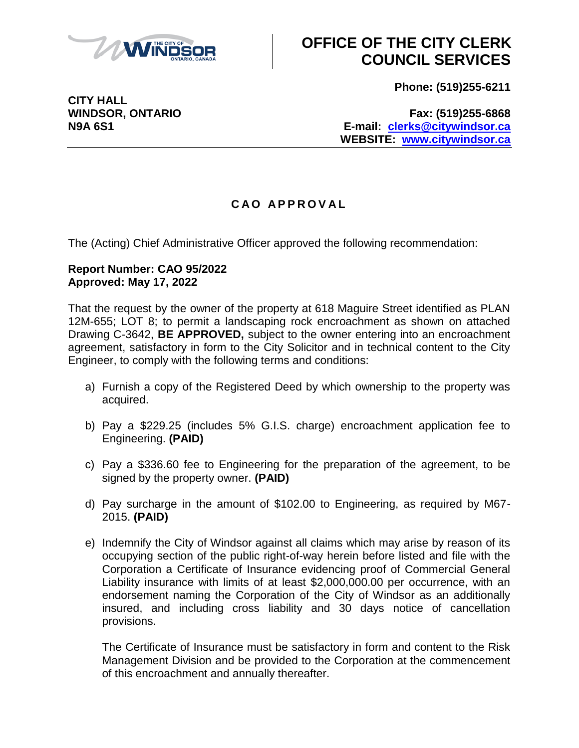

# **OFFICE OF THE CITY CLERK COUNCIL SERVICES**

**Phone: (519)255-6211**

**CITY HALL**

**WINDSOR, ONTARIO Fax: (519)255-6868 N9A 6S1 E-mail: [clerks@citywindsor.ca](mailto:clerks@citywindsor.ca) WEBSITE: [www.citywindsor.ca](http://www.citywindsor.ca/)**

### **C A O A P P R O V A L**

The (Acting) Chief Administrative Officer approved the following recommendation:

#### **Report Number: CAO 95/2022 Approved: May 17, 2022**

That the request by the owner of the property at 618 Maguire Street identified as PLAN 12M-655; LOT 8; to permit a landscaping rock encroachment as shown on attached Drawing C-3642, **BE APPROVED,** subject to the owner entering into an encroachment agreement, satisfactory in form to the City Solicitor and in technical content to the City Engineer, to comply with the following terms and conditions:

- a) Furnish a copy of the Registered Deed by which ownership to the property was acquired.
- b) Pay a \$229.25 (includes 5% G.I.S. charge) encroachment application fee to Engineering. **(PAID)**
- c) Pay a \$336.60 fee to Engineering for the preparation of the agreement, to be signed by the property owner. **(PAID)**
- d) Pay surcharge in the amount of \$102.00 to Engineering, as required by M67- 2015. **(PAID)**
- e) Indemnify the City of Windsor against all claims which may arise by reason of its occupying section of the public right-of-way herein before listed and file with the Corporation a Certificate of Insurance evidencing proof of Commercial General Liability insurance with limits of at least \$2,000,000.00 per occurrence, with an endorsement naming the Corporation of the City of Windsor as an additionally insured, and including cross liability and 30 days notice of cancellation provisions.

The Certificate of Insurance must be satisfactory in form and content to the Risk Management Division and be provided to the Corporation at the commencement of this encroachment and annually thereafter.